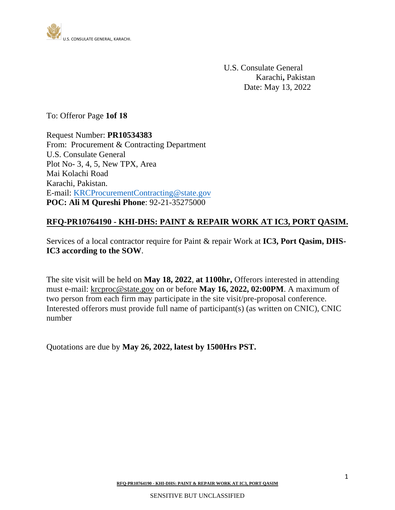

U.S. Consulate General Karachi**,** Pakistan Date: May 13, 2022

To: Offeror Page **1of 18**

Request Number: **PR10534383**  From: Procurement & Contracting Department U.S. Consulate General Plot No- 3, 4, 5, New TPX, Area Mai Kolachi Road Karachi, Pakistan. E-mail: [KRCProcurementContracting@state.gov](mailto:KRCProcurementContracting@state.gov) **POC: Ali M Qureshi Phone**: 92-21-35275000

#### **RFQ-PR10764190 - KHI-DHS: PAINT & REPAIR WORK AT IC3, PORT QASIM.**

Services of a local contractor require for Paint & repair Work at **IC3, Port Qasim, DHS-IC3 according to the SOW**.

The site visit will be held on **May 18, 2022**, **at 1100hr,** Offerors interested in attending must e-mail: [krcproc@state.gov](mailto:krcproc@state.gov) on or before **May 16, 2022, 02:00PM**. A maximum of two person from each firm may participate in the site visit/pre-proposal conference. Interested offerors must provide full name of participant(s) (as written on CNIC), CNIC number

Quotations are due by **May 26, 2022, latest by 1500Hrs PST.**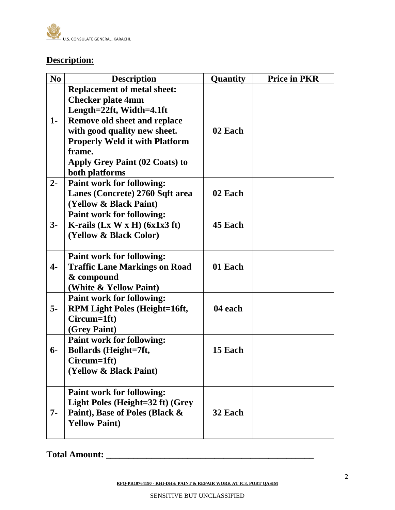

# **Description:**

| N <sub>0</sub> | <b>Description</b>                                                                                                                                                                                                   | Quantity | <b>Price in PKR</b> |
|----------------|----------------------------------------------------------------------------------------------------------------------------------------------------------------------------------------------------------------------|----------|---------------------|
| $1-$           | <b>Replacement of metal sheet:</b><br><b>Checker plate 4mm</b><br>Length=22ft, Width=4.1ft<br><b>Remove old sheet and replace</b><br>with good quality new sheet.<br><b>Properly Weld it with Platform</b><br>frame. | 02 Each  |                     |
|                | Apply Grey Paint (02 Coats) to<br>both platforms                                                                                                                                                                     |          |                     |
| $2 -$          | <b>Paint work for following:</b><br>Lanes (Concrete) 2760 Sqft area<br>(Yellow & Black Paint)                                                                                                                        | 02 Each  |                     |
| $3-$           | <b>Paint work for following:</b><br>K-rails $(Lx W x H)$ (6x1x3 ft)<br>(Yellow & Black Color)                                                                                                                        | 45 Each  |                     |
| $\overline{4}$ | <b>Paint work for following:</b><br><b>Traffic Lane Markings on Road</b><br>& compound<br>(White & Yellow Paint)                                                                                                     | 01 Each  |                     |
| $5-$           | <b>Paint work for following:</b><br><b>RPM Light Poles (Height=16ft,</b><br>Circum=1ft)<br>(Grey Paint)                                                                                                              | 04 each  |                     |
| $6-$           | <b>Paint work for following:</b><br><b>Bollards</b> (Height=7ft,<br>Circum=1ft)<br>(Yellow & Black Paint)                                                                                                            | 15 Each  |                     |
| $7 -$          | <b>Paint work for following:</b><br>Light Poles (Height=32 ft) (Grey<br>Paint), Base of Poles (Black &<br><b>Yellow Paint)</b>                                                                                       | 32 Each  |                     |

**Total Amount: \_\_\_\_\_\_\_\_\_\_\_\_\_\_\_\_\_\_\_\_\_\_\_\_\_\_\_\_\_\_\_\_\_\_\_\_\_\_\_\_\_\_\_\_\_\_**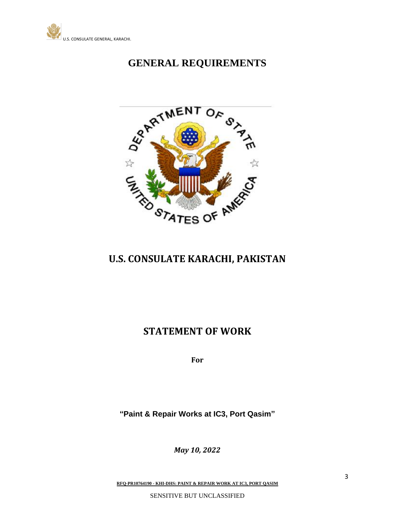



# **U.S. CONSULATE KARACHI, PAKISTAN**

# **STATEMENT OF WORK**

**For**

**"Paint & Repair Works at IC3, Port Qasim"**

*May 10, 2022*

**RFQ-PR10764190 - KHI-DHS: PAINT & REPAIR WORK AT IC3, PORT QASIM**

SENSITIVE BUT UNCLASSIFIED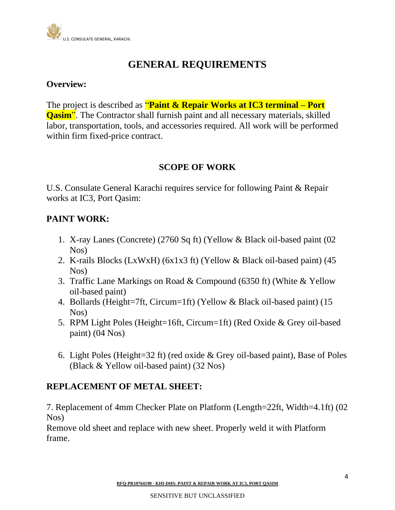

### **Overview:**

The project is described as "**Paint & Repair Works at IC3 terminal – Port Qasim**". The Contractor shall furnish paint and all necessary materials, skilled labor, transportation, tools, and accessories required. All work will be performed within firm fixed-price contract.

### **SCOPE OF WORK**

U.S. Consulate General Karachi requires service for following Paint & Repair works at IC3, Port Qasim:

## **PAINT WORK:**

- 1. X-ray Lanes (Concrete) (2760 Sq ft) (Yellow & Black oil-based paint (02 Nos)
- 2. K-rails Blocks (LxWxH) (6x1x3 ft) (Yellow & Black oil-based paint) (45 Nos)
- 3. Traffic Lane Markings on Road & Compound (6350 ft) (White & Yellow oil-based paint)
- 4. Bollards (Height=7ft, Circum=1ft) (Yellow & Black oil-based paint) (15 Nos)
- 5. RPM Light Poles (Height=16ft, Circum=1ft) (Red Oxide & Grey oil-based paint) (04 Nos)
- 6. Light Poles (Height=32 ft) (red oxide & Grey oil-based paint), Base of Poles (Black & Yellow oil-based paint) (32 Nos)

### **REPLACEMENT OF METAL SHEET:**

7. Replacement of 4mm Checker Plate on Platform (Length=22ft, Width=4.1ft) (02 Nos)

Remove old sheet and replace with new sheet. Properly weld it with Platform frame.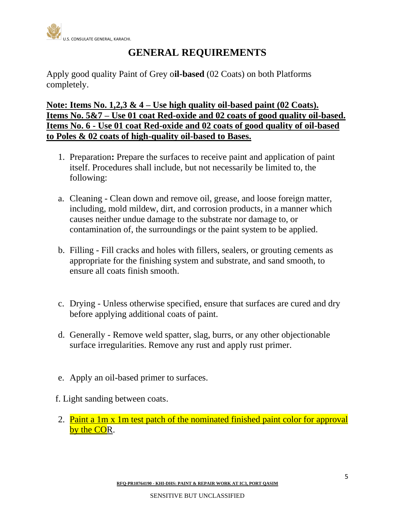

Apply good quality Paint of Grey o**il-based** (02 Coats) on both Platforms completely.

**Note: Items No. 1,2,3 & 4 – Use high quality oil-based paint (02 Coats). Items No. 5&7 – Use 01 coat Red-oxide and 02 coats of good quality oil-based. Items No. 6 - Use 01 coat Red-oxide and 02 coats of good quality of oil-based to Poles & 02 coats of high-quality oil-based to Bases.**

- 1. Preparation**:** Prepare the surfaces to receive paint and application of paint itself. Procedures shall include, but not necessarily be limited to, the following:
- a. Cleaning Clean down and remove oil, grease, and loose foreign matter, including, mold mildew, dirt, and corrosion products, in a manner which causes neither undue damage to the substrate nor damage to, or contamination of, the surroundings or the paint system to be applied.
- b. Filling Fill cracks and holes with fillers, sealers, or grouting cements as appropriate for the finishing system and substrate, and sand smooth, to ensure all coats finish smooth.
- c. Drying Unless otherwise specified, ensure that surfaces are cured and dry before applying additional coats of paint.
- d. Generally Remove weld spatter, slag, burrs, or any other objectionable surface irregularities. Remove any rust and apply rust primer.
- e. Apply an oil-based primer to surfaces.
- f. Light sanding between coats.
- 2. Paint a 1m x 1m test patch of the nominated finished paint color for approval by the COR.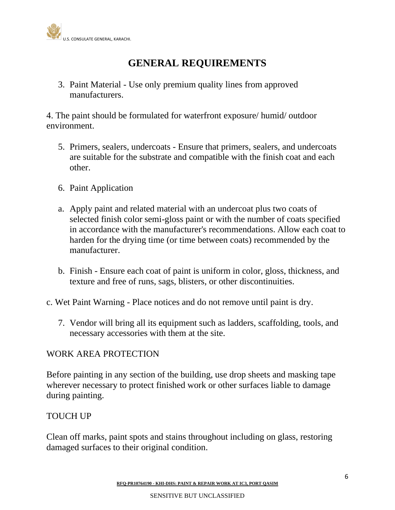

3. Paint Material - Use only premium quality lines from approved manufacturers.

4. The paint should be formulated for waterfront exposure/ humid/ outdoor environment.

- 5. Primers, sealers, undercoats Ensure that primers, sealers, and undercoats are suitable for the substrate and compatible with the finish coat and each other.
- 6. Paint Application
- a. Apply paint and related material with an undercoat plus two coats of selected finish color semi-gloss paint or with the number of coats specified in accordance with the manufacturer's recommendations. Allow each coat to harden for the drying time (or time between coats) recommended by the manufacturer.
- b. Finish Ensure each coat of paint is uniform in color, gloss, thickness, and texture and free of runs, sags, blisters, or other discontinuities.
- c. Wet Paint Warning Place notices and do not remove until paint is dry.
	- 7. Vendor will bring all its equipment such as ladders, scaffolding, tools, and necessary accessories with them at the site.

### WORK AREA PROTECTION

Before painting in any section of the building, use drop sheets and masking tape wherever necessary to protect finished work or other surfaces liable to damage during painting.

#### TOUCH UP

Clean off marks, paint spots and stains throughout including on glass, restoring damaged surfaces to their original condition.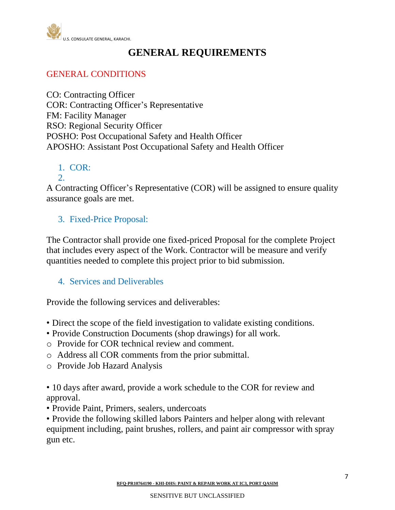

## GENERAL CONDITIONS

CO: Contracting Officer COR: Contracting Officer's Representative FM: Facility Manager RSO: Regional Security Officer POSHO: Post Occupational Safety and Health Officer APOSHO: Assistant Post Occupational Safety and Health Officer

1. COR: 2.

A Contracting Officer's Representative (COR) will be assigned to ensure quality assurance goals are met.

### 3. Fixed-Price Proposal:

The Contractor shall provide one fixed-priced Proposal for the complete Project that includes every aspect of the Work. Contractor will be measure and verify quantities needed to complete this project prior to bid submission.

4. Services and Deliverables

Provide the following services and deliverables:

- Direct the scope of the field investigation to validate existing conditions.
- Provide Construction Documents (shop drawings) for all work.
- o Provide for COR technical review and comment.
- o Address all COR comments from the prior submittal.
- o Provide Job Hazard Analysis

• 10 days after award, provide a work schedule to the COR for review and approval.

• Provide Paint, Primers, sealers, undercoats

• Provide the following skilled labors Painters and helper along with relevant equipment including, paint brushes, rollers, and paint air compressor with spray gun etc.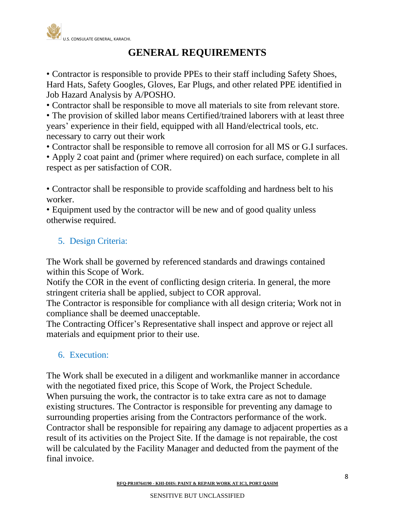

• Contractor is responsible to provide PPEs to their staff including Safety Shoes, Hard Hats, Safety Googles, Gloves, Ear Plugs, and other related PPE identified in Job Hazard Analysis by A/POSHO.

• Contractor shall be responsible to move all materials to site from relevant store.

• The provision of skilled labor means Certified/trained laborers with at least three years' experience in their field, equipped with all Hand/electrical tools, etc. necessary to carry out their work

• Contractor shall be responsible to remove all corrosion for all MS or G.I surfaces.

• Apply 2 coat paint and (primer where required) on each surface, complete in all respect as per satisfaction of COR.

• Contractor shall be responsible to provide scaffolding and hardness belt to his worker.

• Equipment used by the contractor will be new and of good quality unless otherwise required.

# 5. Design Criteria:

The Work shall be governed by referenced standards and drawings contained within this Scope of Work.

Notify the COR in the event of conflicting design criteria. In general, the more stringent criteria shall be applied, subject to COR approval.

The Contractor is responsible for compliance with all design criteria; Work not in compliance shall be deemed unacceptable.

The Contracting Officer's Representative shall inspect and approve or reject all materials and equipment prior to their use.

### 6. Execution:

The Work shall be executed in a diligent and workmanlike manner in accordance with the negotiated fixed price, this Scope of Work, the Project Schedule. When pursuing the work, the contractor is to take extra care as not to damage existing structures. The Contractor is responsible for preventing any damage to surrounding properties arising from the Contractors performance of the work. Contractor shall be responsible for repairing any damage to adjacent properties as a result of its activities on the Project Site. If the damage is not repairable, the cost will be calculated by the Facility Manager and deducted from the payment of the final invoice.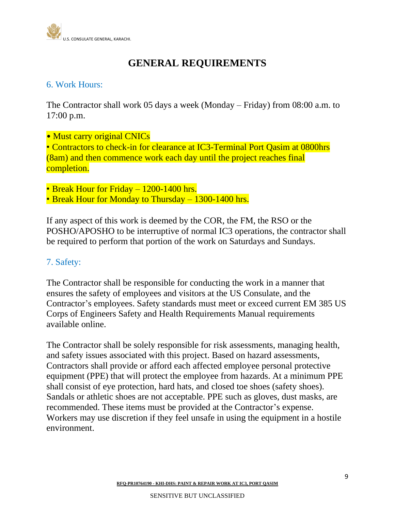

### 6. Work Hours:

The Contractor shall work 05 days a week (Monday – Friday) from 08:00 a.m. to 17:00 p.m.

- Must carry original CNICs • Contractors to check-in for clearance at IC3-Terminal Port Qasim at 0800hrs (8am) and then commence work each day until the project reaches final completion.
- Break Hour for Friday 1200-1400 hrs.
- Break Hour for Monday to Thursday 1300-1400 hrs.

If any aspect of this work is deemed by the COR, the FM, the RSO or the POSHO/APOSHO to be interruptive of normal IC3 operations, the contractor shall be required to perform that portion of the work on Saturdays and Sundays.

### 7. Safety:

The Contractor shall be responsible for conducting the work in a manner that ensures the safety of employees and visitors at the US Consulate, and the Contractor's employees. Safety standards must meet or exceed current EM 385 US Corps of Engineers Safety and Health Requirements Manual requirements available online.

The Contractor shall be solely responsible for risk assessments, managing health, and safety issues associated with this project. Based on hazard assessments, Contractors shall provide or afford each affected employee personal protective equipment (PPE) that will protect the employee from hazards. At a minimum PPE shall consist of eye protection, hard hats, and closed toe shoes (safety shoes). Sandals or athletic shoes are not acceptable. PPE such as gloves, dust masks, are recommended. These items must be provided at the Contractor's expense. Workers may use discretion if they feel unsafe in using the equipment in a hostile environment.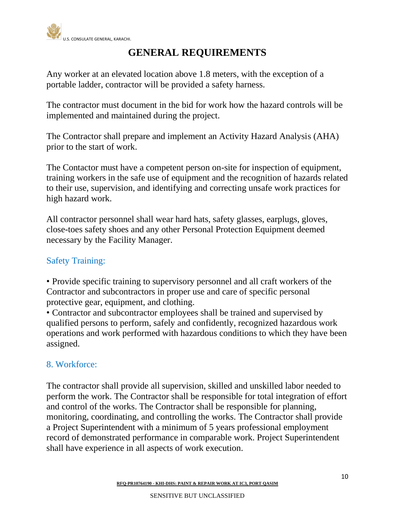

Any worker at an elevated location above 1.8 meters, with the exception of a portable ladder, contractor will be provided a safety harness.

The contractor must document in the bid for work how the hazard controls will be implemented and maintained during the project.

The Contractor shall prepare and implement an Activity Hazard Analysis (AHA) prior to the start of work.

The Contactor must have a competent person on-site for inspection of equipment, training workers in the safe use of equipment and the recognition of hazards related to their use, supervision, and identifying and correcting unsafe work practices for high hazard work.

All contractor personnel shall wear hard hats, safety glasses, earplugs, gloves, close-toes safety shoes and any other Personal Protection Equipment deemed necessary by the Facility Manager.

## Safety Training:

• Provide specific training to supervisory personnel and all craft workers of the Contractor and subcontractors in proper use and care of specific personal protective gear, equipment, and clothing.

• Contractor and subcontractor employees shall be trained and supervised by qualified persons to perform, safely and confidently, recognized hazardous work operations and work performed with hazardous conditions to which they have been assigned.

### 8. Workforce:

The contractor shall provide all supervision, skilled and unskilled labor needed to perform the work. The Contractor shall be responsible for total integration of effort and control of the works. The Contractor shall be responsible for planning, monitoring, coordinating, and controlling the works. The Contractor shall provide a Project Superintendent with a minimum of 5 years professional employment record of demonstrated performance in comparable work. Project Superintendent shall have experience in all aspects of work execution.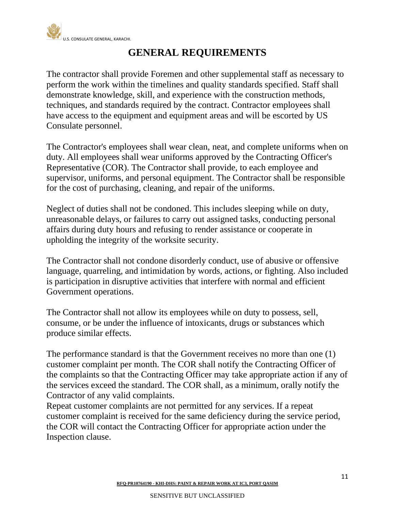

The contractor shall provide Foremen and other supplemental staff as necessary to perform the work within the timelines and quality standards specified. Staff shall demonstrate knowledge, skill, and experience with the construction methods, techniques, and standards required by the contract. Contractor employees shall have access to the equipment and equipment areas and will be escorted by US Consulate personnel.

The Contractor's employees shall wear clean, neat, and complete uniforms when on duty. All employees shall wear uniforms approved by the Contracting Officer's Representative (COR). The Contractor shall provide, to each employee and supervisor, uniforms, and personal equipment. The Contractor shall be responsible for the cost of purchasing, cleaning, and repair of the uniforms.

Neglect of duties shall not be condoned. This includes sleeping while on duty, unreasonable delays, or failures to carry out assigned tasks, conducting personal affairs during duty hours and refusing to render assistance or cooperate in upholding the integrity of the worksite security.

The Contractor shall not condone disorderly conduct, use of abusive or offensive language, quarreling, and intimidation by words, actions, or fighting. Also included is participation in disruptive activities that interfere with normal and efficient Government operations.

The Contractor shall not allow its employees while on duty to possess, sell, consume, or be under the influence of intoxicants, drugs or substances which produce similar effects.

The performance standard is that the Government receives no more than one (1) customer complaint per month. The COR shall notify the Contracting Officer of the complaints so that the Contracting Officer may take appropriate action if any of the services exceed the standard. The COR shall, as a minimum, orally notify the Contractor of any valid complaints.

Repeat customer complaints are not permitted for any services. If a repeat customer complaint is received for the same deficiency during the service period, the COR will contact the Contracting Officer for appropriate action under the Inspection clause.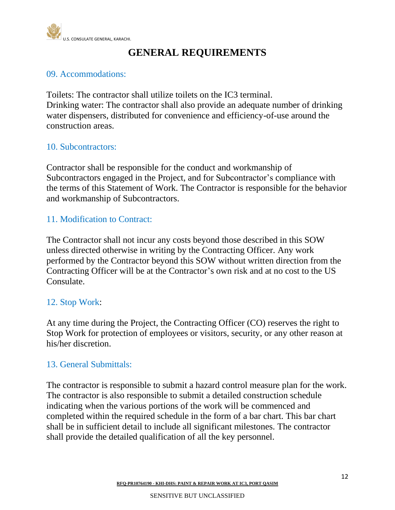

### 09. Accommodations:

Toilets: The contractor shall utilize toilets on the IC3 terminal. Drinking water: The contractor shall also provide an adequate number of drinking water dispensers, distributed for convenience and efficiency-of-use around the construction areas.

### 10. Subcontractors:

Contractor shall be responsible for the conduct and workmanship of Subcontractors engaged in the Project, and for Subcontractor's compliance with the terms of this Statement of Work. The Contractor is responsible for the behavior and workmanship of Subcontractors.

### 11. Modification to Contract:

The Contractor shall not incur any costs beyond those described in this SOW unless directed otherwise in writing by the Contracting Officer. Any work performed by the Contractor beyond this SOW without written direction from the Contracting Officer will be at the Contractor's own risk and at no cost to the US Consulate.

### 12. Stop Work:

At any time during the Project, the Contracting Officer (CO) reserves the right to Stop Work for protection of employees or visitors, security, or any other reason at his/her discretion.

### 13. General Submittals:

The contractor is responsible to submit a hazard control measure plan for the work. The contractor is also responsible to submit a detailed construction schedule indicating when the various portions of the work will be commenced and completed within the required schedule in the form of a bar chart. This bar chart shall be in sufficient detail to include all significant milestones. The contractor shall provide the detailed qualification of all the key personnel.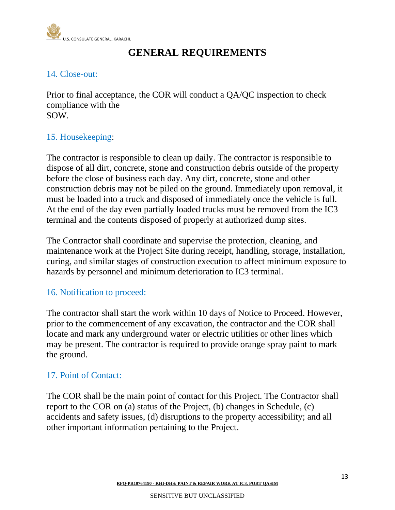

## 14. Close-out:

Prior to final acceptance, the COR will conduct a QA/QC inspection to check compliance with the SOW.

## 15. Housekeeping:

The contractor is responsible to clean up daily. The contractor is responsible to dispose of all dirt, concrete, stone and construction debris outside of the property before the close of business each day. Any dirt, concrete, stone and other construction debris may not be piled on the ground. Immediately upon removal, it must be loaded into a truck and disposed of immediately once the vehicle is full. At the end of the day even partially loaded trucks must be removed from the IC3 terminal and the contents disposed of properly at authorized dump sites.

The Contractor shall coordinate and supervise the protection, cleaning, and maintenance work at the Project Site during receipt, handling, storage, installation, curing, and similar stages of construction execution to affect minimum exposure to hazards by personnel and minimum deterioration to IC3 terminal.

### 16. Notification to proceed:

The contractor shall start the work within 10 days of Notice to Proceed. However, prior to the commencement of any excavation, the contractor and the COR shall locate and mark any underground water or electric utilities or other lines which may be present. The contractor is required to provide orange spray paint to mark the ground.

## 17. Point of Contact:

The COR shall be the main point of contact for this Project. The Contractor shall report to the COR on (a) status of the Project, (b) changes in Schedule, (c) accidents and safety issues, (d) disruptions to the property accessibility; and all other important information pertaining to the Project.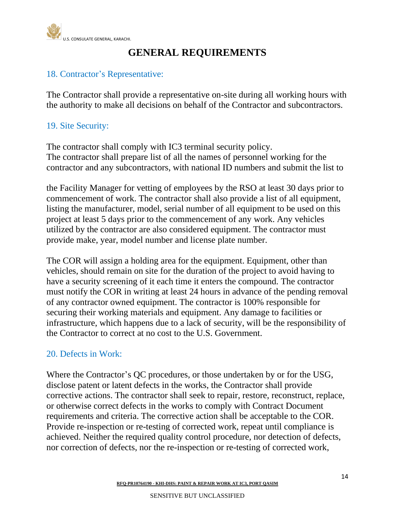

## 18. Contractor's Representative:

The Contractor shall provide a representative on-site during all working hours with the authority to make all decisions on behalf of the Contractor and subcontractors.

## 19. Site Security:

The contractor shall comply with IC3 terminal security policy. The contractor shall prepare list of all the names of personnel working for the contractor and any subcontractors, with national ID numbers and submit the list to

the Facility Manager for vetting of employees by the RSO at least 30 days prior to commencement of work. The contractor shall also provide a list of all equipment, listing the manufacturer, model, serial number of all equipment to be used on this project at least 5 days prior to the commencement of any work. Any vehicles utilized by the contractor are also considered equipment. The contractor must provide make, year, model number and license plate number.

The COR will assign a holding area for the equipment. Equipment, other than vehicles, should remain on site for the duration of the project to avoid having to have a security screening of it each time it enters the compound. The contractor must notify the COR in writing at least 24 hours in advance of the pending removal of any contractor owned equipment. The contractor is 100% responsible for securing their working materials and equipment. Any damage to facilities or infrastructure, which happens due to a lack of security, will be the responsibility of the Contractor to correct at no cost to the U.S. Government.

### 20. Defects in Work:

Where the Contractor's QC procedures, or those undertaken by or for the USG, disclose patent or latent defects in the works, the Contractor shall provide corrective actions. The contractor shall seek to repair, restore, reconstruct, replace, or otherwise correct defects in the works to comply with Contract Document requirements and criteria. The corrective action shall be acceptable to the COR. Provide re-inspection or re-testing of corrected work, repeat until compliance is achieved. Neither the required quality control procedure, nor detection of defects, nor correction of defects, nor the re-inspection or re-testing of corrected work,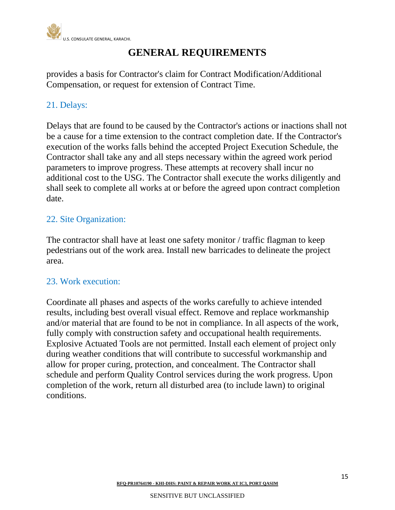

provides a basis for Contractor's claim for Contract Modification/Additional Compensation, or request for extension of Contract Time.

# 21. Delays:

Delays that are found to be caused by the Contractor's actions or inactions shall not be a cause for a time extension to the contract completion date. If the Contractor's execution of the works falls behind the accepted Project Execution Schedule, the Contractor shall take any and all steps necessary within the agreed work period parameters to improve progress. These attempts at recovery shall incur no additional cost to the USG. The Contractor shall execute the works diligently and shall seek to complete all works at or before the agreed upon contract completion date.

### 22. Site Organization:

The contractor shall have at least one safety monitor / traffic flagman to keep pedestrians out of the work area. Install new barricades to delineate the project area.

### 23. Work execution:

Coordinate all phases and aspects of the works carefully to achieve intended results, including best overall visual effect. Remove and replace workmanship and/or material that are found to be not in compliance. In all aspects of the work, fully comply with construction safety and occupational health requirements. Explosive Actuated Tools are not permitted. Install each element of project only during weather conditions that will contribute to successful workmanship and allow for proper curing, protection, and concealment. The Contractor shall schedule and perform Quality Control services during the work progress. Upon completion of the work, return all disturbed area (to include lawn) to original conditions.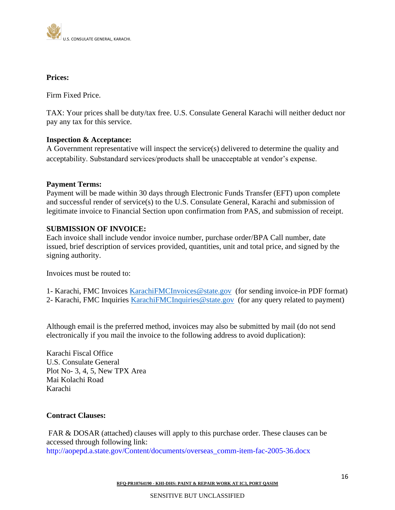

#### **Prices:**

Firm Fixed Price.

TAX: Your prices shall be duty/tax free. U.S. Consulate General Karachi will neither deduct nor pay any tax for this service.

#### **Inspection & Acceptance:**

A Government representative will inspect the service(s) delivered to determine the quality and acceptability. Substandard services/products shall be unacceptable at vendor's expense.

#### **Payment Terms:**

Payment will be made within 30 days through Electronic Funds Transfer (EFT) upon complete and successful render of service(s) to the U.S. Consulate General, Karachi and submission of legitimate invoice to Financial Section upon confirmation from PAS, and submission of receipt.

#### **SUBMISSION OF INVOICE:**

Each invoice shall include vendor invoice number, purchase order/BPA Call number, date issued, brief description of services provided, quantities, unit and total price, and signed by the signing authority.

Invoices must be routed to:

1- Karachi, FMC Invoices [KarachiFMCInvoices@state.gov](mailto:KarachiFMCInvoices@state.gov) (for sending invoice-in PDF format) 2- Karachi, FMC Inquiries [KarachiFMCInquiries@state.gov](mailto:KarachiFMCInquiries@state.gov) (for any query related to payment)

Although email is the preferred method, invoices may also be submitted by mail (do not send electronically if you mail the invoice to the following address to avoid duplication):

Karachi Fiscal Office U.S. Consulate General Plot No- 3, 4, 5, New TPX Area Mai Kolachi Road Karachi

#### **Contract Clauses:**

FAR & DOSAR (attached) clauses will apply to this purchase order. These clauses can be accessed through following link: http://aopepd.a.state.gov/Content/documents/overseas\_comm-item-fac-2005-36.docx

**RFQ-PR10764190 - KHI-DHS: PAINT & REPAIR WORK AT IC3, PORT QASIM**

#### SENSITIVE BUT UNCLASSIFIED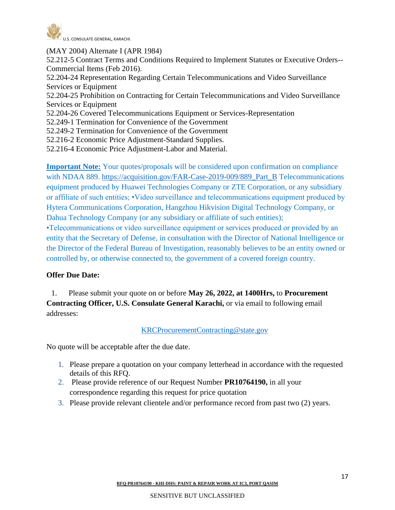

(MAY 2004) Alternate I (APR 1984) 52.212-5 Contract Terms and Conditions Required to Implement Statutes or Executive Orders-- Commercial Items (Feb 2016). 52.204-24 Representation Regarding Certain Telecommunications and Video Surveillance Services or Equipment 52.204-25 Prohibition on Contracting for Certain Telecommunications and Video Surveillance Services or Equipment 52.204-26 Covered Telecommunications Equipment or Services-Representation 52.249-1 Termination for Convenience of the Government 52.249-2 Termination for Convenience of the Government 52.216-2 Economic Price Adjustment-Standard Supplies. 52.216-4 Economic Price Adjustment-Labor and Material.

**Important Note:** Your quotes/proposals will be considered upon confirmation on compliance with NDAA 889. [https://acquisition.gov/FAR-Case-2019-009/889\\_Part\\_B](https://acquisition.gov/FAR-Case-2019-009/889_Part_B) Telecommunications equipment produced by Huawei Technologies Company or ZTE Corporation, or any subsidiary or affiliate of such entities; •Video surveillance and telecommunications equipment produced by Hytera Communications Corporation, Hangzhou Hikvision Digital Technology Company, or Dahua Technology Company (or any subsidiary or affiliate of such entities);

•Telecommunications or video surveillance equipment or services produced or provided by an entity that the Secretary of Defense, in consultation with the Director of National Intelligence or the Director of the Federal Bureau of Investigation, reasonably believes to be an entity owned or controlled by, or otherwise connected to, the government of a covered foreign country.

#### **Offer Due Date:**

 1. Please submit your quote on or before **May 26, 2022, at 1400Hrs,** to **Procurement Contracting Officer, U.S. Consulate General Karachi, or via email to following email** addresses:

#### [KRCProcurementContracting@state.gov](mailto:KRCProcurementContracting@state.gov)

No quote will be acceptable after the due date.

- 1. Please prepare a quotation on your company letterhead in accordance with the requested details of this RFQ.
- 2. Please provide reference of our Request Number **PR10764190,** in all your correspondence regarding this request for price quotation
- 3. Please provide relevant clientele and/or performance record from past two (2) years.